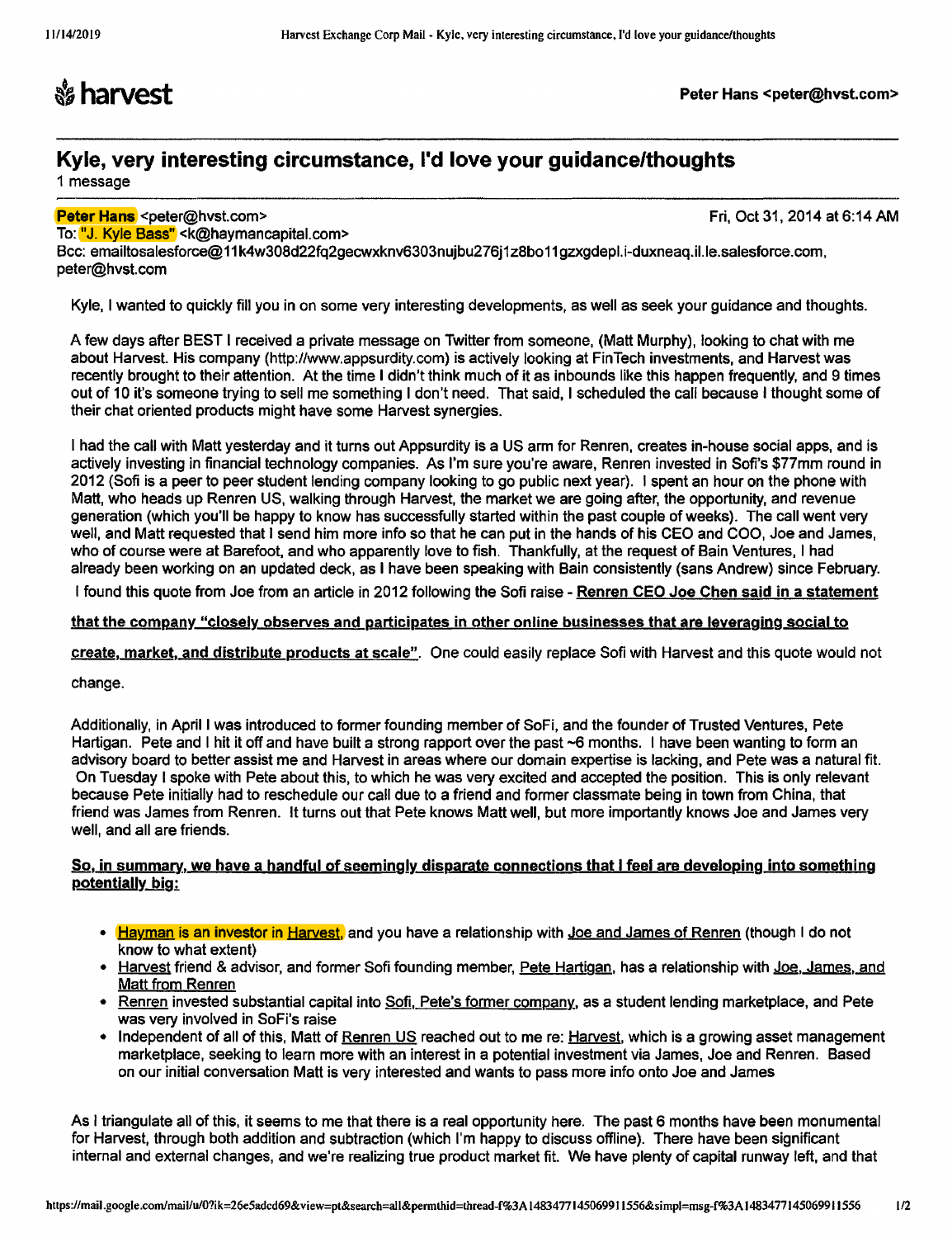## **Kyle, very interesting circumstance, I'd love your guidance/thoughts**  1 message

**Peter Hans** <peter@hvst.com> Fri, Oct 31, 2014 at 6:14 AM

To: "J. Kyle Bass" <k@haymancapital.com>

Bcc: emailtosalesforce@11k4w308d22fq2gecwxknv6303nujbu276j1z8bo11gzxgdepl.i-duxneag.il.le.salesforce.com, peter@hvst.com

Kyle, I wanted to quickly fill you in on some very interesting developments, as well as seek your guidance and thoughts.

A few days after BEST I received a private message on Twitter from someone, (Matt Murphy), looking to chat with me about Harvest. His company (http://www.appsurdity.com) is actively looking at FinTech investments, and Harvest was recently brought to their attention. At the time I didn't think much of it as inbounds like this happen frequently, and 9 times out of 10 it's someone trying to sell me something I don't need. That said, I scheduled the call because I thought some of their chat oriented products might have some Harvest synergies.

I had the call with Matt yesterday and it turns out Appsurdity is a US arm for Renren, creates in-house social apps, and is actively investing in financial technology companies. As I'm sure you're aware, Renren invested in Sofi's \$77mm round in 2012 (Sofi is a peer to peer student lending company looking to go public next year). I spent an hour on the phone with Matt, who heads up Renren US, walking through Harvest, the market we are going after, the opportunity, and revenue generation (which you'll be happy to know has successfully started within the past couple of weeks). The call went very well, and Matt requested that I send him more info so that he can put in the hands of his CEO and COO, Joe and James, who of course were at Barefoot, and who apparently love to fish. Thankfully, at the request of Bain Ventures, I had already been working on an updated deck, as I have been speaking with Bain consistently (sans Andrew) since February.

I found this quote from Joe from an article in 2012 following the Sofi raise- Renren CEO Joe Chen **said** in a statement

that the company "closely observes and participates in other online businesses that are leveraging social to

create, **market,** and distribute products at scale". One could easily replace Sofi with Harvest and this quote would not

change.

Additionally, in April I was introduced to former founding member of SoFi, and the founder of Trusted Ventures, Pete Hartigan. Pete and I hit it off and have built a strong rapport over the past ~6 months. I have been wanting to form an advisory board to better assist me and Harvest in areas where our domain expertise is lacking, and Pete was a natural fit. On Tuesday I spoke with Pete about this, to which he was very excited and accepted the position. This is only relevant because Pete initially had to reschedule our call due to a friend and former classmate being in town from China, that friend was James from Renren. It turns out that Pete knows Matt well, but more importantly knows Joe and James very well, and all are friends.

## So, in summary, we have a handful of seemingly disparate connections that I feel are developing into something potentially big:

- Hayman is an investor in Harvest, and you have a relationship with Joe and James of Renren (though I do not know to what extent)
- Harvest friend & advisor, and former Sofi founding member, Pete Hartigan, has a relationship with Joe, James, and Matt from Renren
- Renren invested substantial capital into Sofi, Pete's former company, as a student lending marketplace, and Pete was very involved in SoFi's raise
- Independent of all of this, Matt of Renren US reached out to me re: Harvest, which is a growing asset management marketplace, seeking to learn more with an interest in a potential investment via James, Joe and Renren. Based on our initial conversation Matt is very interested and wants to pass more info onto Joe and James

As I triangulate all of this, it seems to me that there is a real opportunity here. The past 6 months have been monumental for Harvest, through both addition and subtraction (which I'm happy to discuss offline). There have been significant internal and external changes, and we're realizing true product market fit. We have plenty of capital runway left, and that